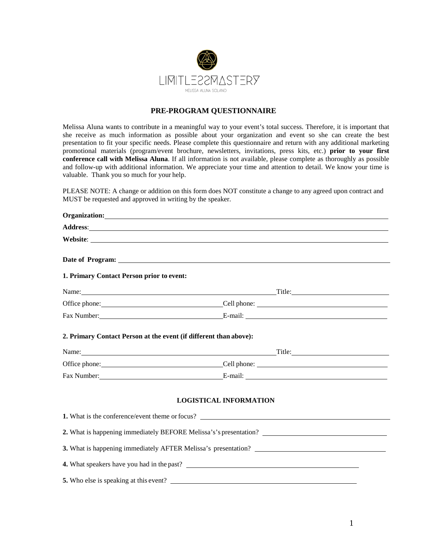

## **PRE-PROGRAM QUESTIONNAIRE**

Melissa Aluna wants to contribute in a meaningful way to your event's total success. Therefore, it is important that she receive as much information as possible about your organization and event so she can create the best presentation to fit your specific needs. Please complete this questionnaire and return with any additional marketing promotional materials (program/event brochure, newsletters, invitations, press kits, etc.) **prior to your first conference call with Melissa Aluna**. If all information is not available, please complete as thoroughly as possible and follow-up with additional information. We appreciate your time and attention to detail. We know your time is valuable. Thank you so much for your help.

PLEASE NOTE: A change or addition on this form does NOT constitute a change to any agreed upon contract and MUST be requested and approved in writing by the speaker.

|                                                                   | Organization: New York Changes and Security and Security and Security and Security and Security and Security and Security and Security and Security and Security and Security and Security and Security and Security and Secur |  |
|-------------------------------------------------------------------|--------------------------------------------------------------------------------------------------------------------------------------------------------------------------------------------------------------------------------|--|
|                                                                   | Address: Andreas Address: Address: Address: Address: Address: Address: Address: Address: Address: Address: Address: Address: Address: Address: Address: Address: Address: Address: Address: Address: Address: Address: Address |  |
|                                                                   | Website: News, and the contract of the contract of the contract of the contract of the contract of the contract of the contract of the contract of the contract of the contract of the contract of the contract of the contrac |  |
|                                                                   |                                                                                                                                                                                                                                |  |
| 1. Primary Contact Person prior to event:                         |                                                                                                                                                                                                                                |  |
|                                                                   | Name: Title: Title:                                                                                                                                                                                                            |  |
|                                                                   |                                                                                                                                                                                                                                |  |
|                                                                   | Fax Number: <u>E</u> -mail: E-mail:                                                                                                                                                                                            |  |
| 2. Primary Contact Person at the event (if different than above): |                                                                                                                                                                                                                                |  |
|                                                                   | Name: Title: Title:                                                                                                                                                                                                            |  |
|                                                                   |                                                                                                                                                                                                                                |  |
|                                                                   |                                                                                                                                                                                                                                |  |
|                                                                   | <b>LOGISTICAL INFORMATION</b>                                                                                                                                                                                                  |  |
|                                                                   | 1. What is the conference/event theme or focus?                                                                                                                                                                                |  |
|                                                                   |                                                                                                                                                                                                                                |  |
|                                                                   |                                                                                                                                                                                                                                |  |
|                                                                   |                                                                                                                                                                                                                                |  |
|                                                                   |                                                                                                                                                                                                                                |  |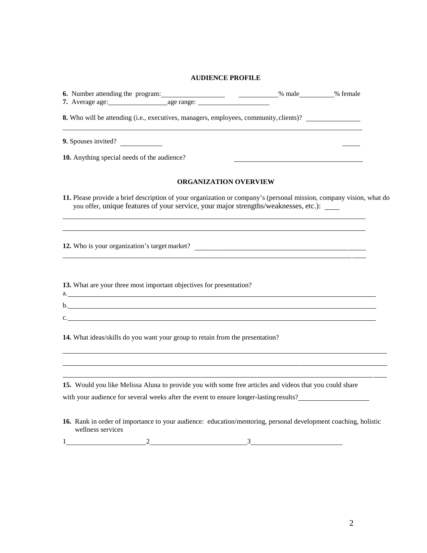## **AUDIENCE PROFILE**

| 6. Number attending the program: 3. We have age range: 2. We have also will be a window with the material window of the material window of the material window of the material window of the material window of the material w |                                                            |  |
|--------------------------------------------------------------------------------------------------------------------------------------------------------------------------------------------------------------------------------|------------------------------------------------------------|--|
| 8. Who will be attending (i.e., executives, managers, employees, community, clients)?                                                                                                                                          |                                                            |  |
| <b>9.</b> Spouses invited? $\qquad \qquad$                                                                                                                                                                                     |                                                            |  |
| 10. Anything special needs of the audience?                                                                                                                                                                                    | <u> 1980 - Johann Barbara, martxa alemaniar amerikan a</u> |  |
| <b>ORGANIZATION OVERVIEW</b>                                                                                                                                                                                                   |                                                            |  |
| 11. Please provide a brief description of your organization or company's (personal mission, company vision, what do<br>you offer, unique features of your service, your major strengths/weaknesses, etc.):                     |                                                            |  |
| 12. Who is your organization's target market?                                                                                                                                                                                  |                                                            |  |
| 13. What are your three most important objectives for presentation?<br>a.                                                                                                                                                      |                                                            |  |
|                                                                                                                                                                                                                                |                                                            |  |
| c.                                                                                                                                                                                                                             |                                                            |  |
| 14. What ideas/skills do you want your group to retain from the presentation?                                                                                                                                                  |                                                            |  |
|                                                                                                                                                                                                                                |                                                            |  |
| 15. Would you like Melissa Aluna to provide you with some free articles and videos that you could share                                                                                                                        |                                                            |  |
| with your audience for several weeks after the event to ensure longer-lasting results?                                                                                                                                         |                                                            |  |
| 16. Rank in order of importance to your audience: education/mentoring, personal development coaching, holistic<br>wellness services                                                                                            |                                                            |  |
| $\mathbf{1}$<br>$\frac{3}{2}$<br>$\mathbf{2}$                                                                                                                                                                                  |                                                            |  |